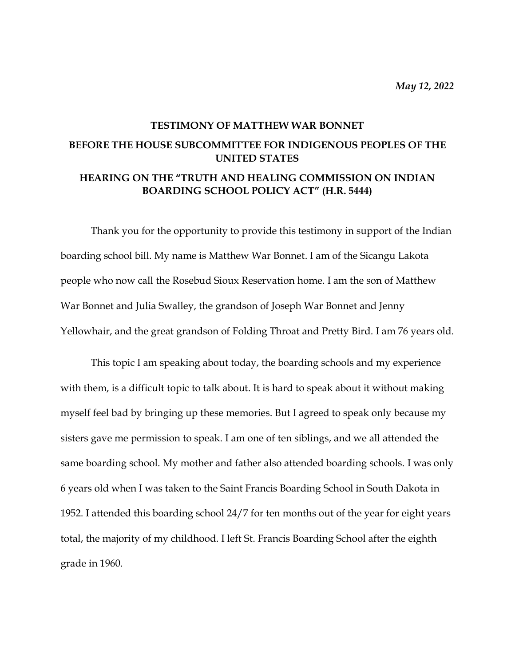*May 12, 2022*

## **TESTIMONY OF MATTHEW WAR BONNET BEFORE THE HOUSE SUBCOMMITTEE FOR INDIGENOUS PEOPLES OF THE UNITED STATES HEARING ON THE "TRUTH AND HEALING COMMISSION ON INDIAN BOARDING SCHOOL POLICY ACT" (H.R. 5444)**

Thank you for the opportunity to provide this testimony in support of the Indian boarding school bill. My name is Matthew War Bonnet. I am of the Sicangu Lakota people who now call the Rosebud Sioux Reservation home. I am the son of Matthew War Bonnet and Julia Swalley, the grandson of Joseph War Bonnet and Jenny Yellowhair, and the great grandson of Folding Throat and Pretty Bird. I am 76 years old.

This topic I am speaking about today, the boarding schools and my experience with them, is a difficult topic to talk about. It is hard to speak about it without making myself feel bad by bringing up these memories. But I agreed to speak only because my sisters gave me permission to speak. I am one of ten siblings, and we all attended the same boarding school. My mother and father also attended boarding schools. I was only 6 years old when I was taken to the Saint Francis Boarding School in South Dakota in 1952. I attended this boarding school 24/7 for ten months out of the year for eight years total, the majority of my childhood. I left St. Francis Boarding School after the eighth grade in 1960.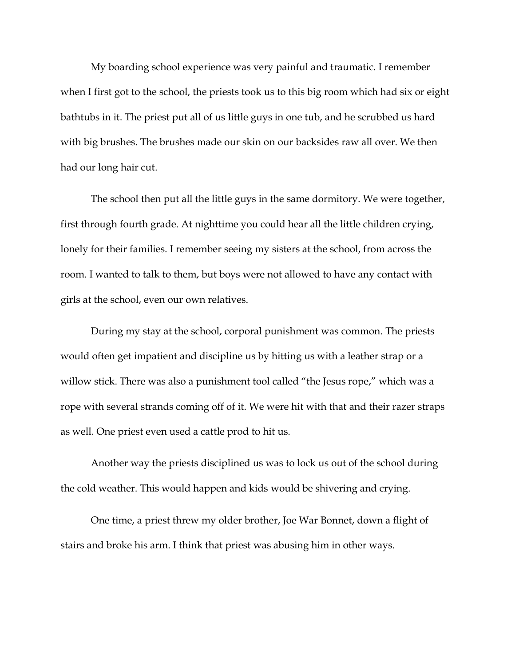My boarding school experience was very painful and traumatic. I remember when I first got to the school, the priests took us to this big room which had six or eight bathtubs in it. The priest put all of us little guys in one tub, and he scrubbed us hard with big brushes. The brushes made our skin on our backsides raw all over. We then had our long hair cut.

The school then put all the little guys in the same dormitory. We were together, first through fourth grade. At nighttime you could hear all the little children crying, lonely for their families. I remember seeing my sisters at the school, from across the room. I wanted to talk to them, but boys were not allowed to have any contact with girls at the school, even our own relatives.

During my stay at the school, corporal punishment was common. The priests would often get impatient and discipline us by hitting us with a leather strap or a willow stick. There was also a punishment tool called "the Jesus rope," which was a rope with several strands coming off of it. We were hit with that and their razer straps as well. One priest even used a cattle prod to hit us.

Another way the priests disciplined us was to lock us out of the school during the cold weather. This would happen and kids would be shivering and crying.

One time, a priest threw my older brother, Joe War Bonnet, down a flight of stairs and broke his arm. I think that priest was abusing him in other ways.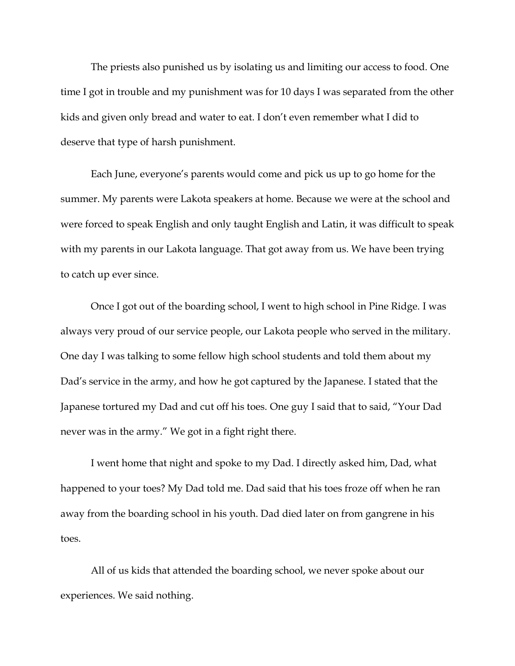The priests also punished us by isolating us and limiting our access to food. One time I got in trouble and my punishment was for 10 days I was separated from the other kids and given only bread and water to eat. I don't even remember what I did to deserve that type of harsh punishment.

Each June, everyone's parents would come and pick us up to go home for the summer. My parents were Lakota speakers at home. Because we were at the school and were forced to speak English and only taught English and Latin, it was difficult to speak with my parents in our Lakota language. That got away from us. We have been trying to catch up ever since.

Once I got out of the boarding school, I went to high school in Pine Ridge. I was always very proud of our service people, our Lakota people who served in the military. One day I was talking to some fellow high school students and told them about my Dad's service in the army, and how he got captured by the Japanese. I stated that the Japanese tortured my Dad and cut off his toes. One guy I said that to said, "Your Dad never was in the army." We got in a fight right there.

I went home that night and spoke to my Dad. I directly asked him, Dad, what happened to your toes? My Dad told me. Dad said that his toes froze off when he ran away from the boarding school in his youth. Dad died later on from gangrene in his toes.

All of us kids that attended the boarding school, we never spoke about our experiences. We said nothing.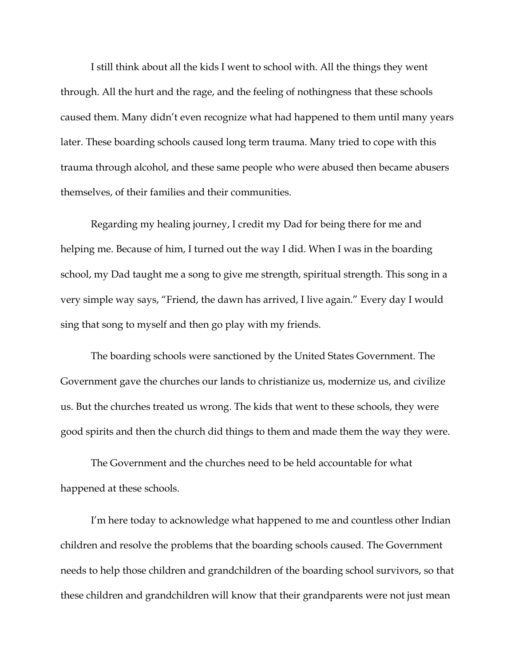I still think about all the kids I went to school with. All the things they went through. All the hurt and the rage, and the feeling of nothingness that these schools caused them. Many didn't even recognize what had happened to them until many years later. These boarding schools caused long term trauma. Many tried to cope with this trauma through alcohol, and these same people who were abused then became abusers themselves, of their families and their communities.

Regarding my healing journey, I credit my Dad for being there for me and helping me. Because of him, I turned out the way I did. When I was in the boarding school, my Dad taught me a song to give me strength, spiritual strength. This song in a very simple way says, "Friend, the dawn has arrived, I live again." Every day I would sing that song to myself and then go play with my friends.

The boarding schools were sanctioned by the United States Government. The Government gave the churches our lands to christianize us, modernize us, and civilize us. But the churches treated us wrong. The kids that went to these schools, they were good spirits and then the church did things to them and made them the way they were.

The Government and the churches need to be held accountable for what happened at these schools.

I'm here today to acknowledge what happened to me and countless other Indian children and resolve the problems that the boarding schools caused. The Government needs to help those children and grandchildren of the boarding school survivors, so that these children and grandchildren will know that their grandparents were not just mean